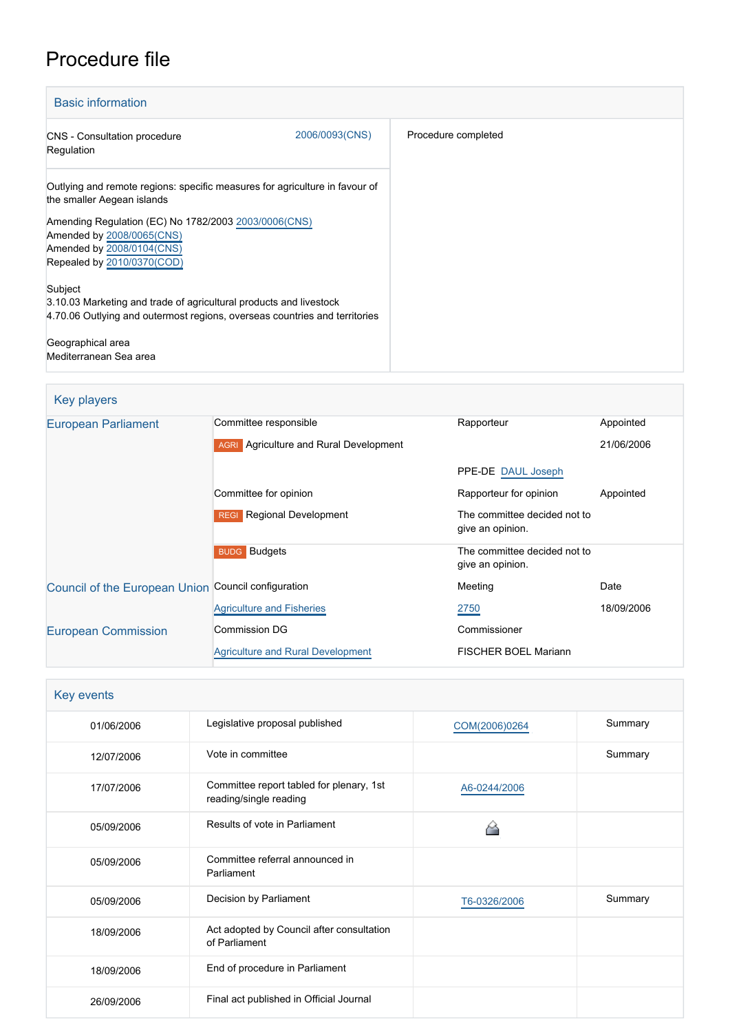## Procedure file

| <b>Basic information</b>                                                                                                                                    |                |                     |
|-------------------------------------------------------------------------------------------------------------------------------------------------------------|----------------|---------------------|
| <b>CNS</b> - Consultation procedure<br>Regulation                                                                                                           | 2006/0093(CNS) | Procedure completed |
| Outlying and remote regions: specific measures for agriculture in favour of<br>the smaller Aegean islands                                                   |                |                     |
| Amending Regulation (EC) No 1782/2003 2003/0006 (CNS)<br>Amended by 2008/0065(CNS)<br>Amended by 2008/0104(CNS)<br>Repealed by 2010/0370(COD)               |                |                     |
| Subject<br>3.10.03 Marketing and trade of agricultural products and livestock<br>4.70.06 Outlying and outermost regions, overseas countries and territories |                |                     |
| Geographical area<br>Mediterranean Sea area                                                                                                                 |                |                     |

| Key players                                         |                                               |                                                  |            |
|-----------------------------------------------------|-----------------------------------------------|--------------------------------------------------|------------|
| <b>European Parliament</b>                          | Committee responsible                         | Rapporteur                                       | Appointed  |
|                                                     | <b>AGRI</b> Agriculture and Rural Development |                                                  | 21/06/2006 |
|                                                     |                                               | PPE-DE DAUL Joseph                               |            |
|                                                     | Committee for opinion                         | Rapporteur for opinion                           | Appointed  |
|                                                     | <b>Regional Development</b><br><b>REGI</b>    | The committee decided not to<br>give an opinion. |            |
|                                                     | <b>BUDG</b> Budgets                           | The committee decided not to<br>give an opinion. |            |
| Council of the European Union Council configuration |                                               | Meeting                                          | Date       |
|                                                     | <b>Agriculture and Fisheries</b>              | 2750                                             | 18/09/2006 |
| <b>European Commission</b>                          | Commission DG                                 | Commissioner                                     |            |
|                                                     | <b>Agriculture and Rural Development</b>      | <b>FISCHER BOEL Mariann</b>                      |            |

| Key events |                                                                    |               |         |
|------------|--------------------------------------------------------------------|---------------|---------|
| 01/06/2006 | Legislative proposal published                                     | COM(2006)0264 | Summary |
| 12/07/2006 | Vote in committee                                                  |               | Summary |
| 17/07/2006 | Committee report tabled for plenary, 1st<br>reading/single reading | A6-0244/2006  |         |
| 05/09/2006 | Results of vote in Parliament                                      |               |         |
| 05/09/2006 | Committee referral announced in<br>Parliament                      |               |         |
| 05/09/2006 | Decision by Parliament                                             | T6-0326/2006  | Summary |
| 18/09/2006 | Act adopted by Council after consultation<br>of Parliament         |               |         |
| 18/09/2006 | End of procedure in Parliament                                     |               |         |
| 26/09/2006 | Final act published in Official Journal                            |               |         |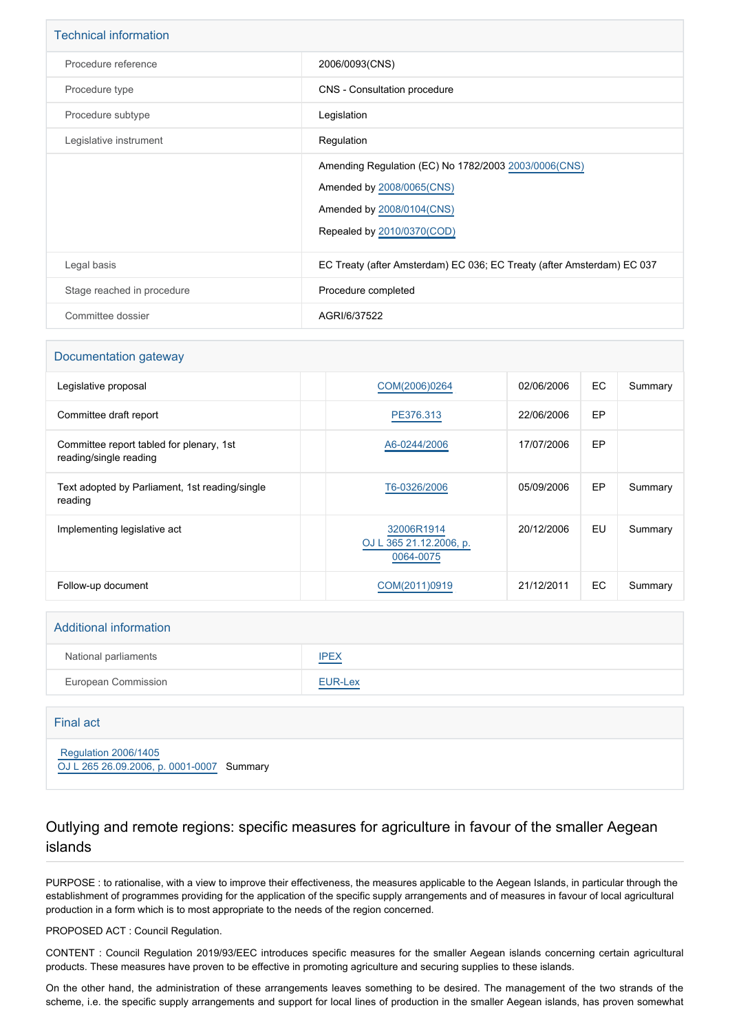| <b>Technical information</b> |                                                                                                                                               |
|------------------------------|-----------------------------------------------------------------------------------------------------------------------------------------------|
| Procedure reference          | 2006/0093(CNS)                                                                                                                                |
| Procedure type               | CNS - Consultation procedure                                                                                                                  |
| Procedure subtype            | Legislation                                                                                                                                   |
| Legislative instrument       | Regulation                                                                                                                                    |
|                              | Amending Regulation (EC) No 1782/2003 2003/0006 (CNS)<br>Amended by 2008/0065(CNS)<br>Amended by 2008/0104(CNS)<br>Repealed by 2010/0370(COD) |
| Legal basis                  | EC Treaty (after Amsterdam) EC 036; EC Treaty (after Amsterdam) EC 037                                                                        |
| Stage reached in procedure   | Procedure completed                                                                                                                           |
| Committee dossier            | AGRI/6/37522                                                                                                                                  |

#### Documentation gateway

| Legislative proposal                                               | COM(2006)0264                                      | 02/06/2006 | <b>EC</b> | Summary |
|--------------------------------------------------------------------|----------------------------------------------------|------------|-----------|---------|
| Committee draft report                                             | PE376.313                                          | 22/06/2006 | EP        |         |
| Committee report tabled for plenary, 1st<br>reading/single reading | A6-0244/2006                                       | 17/07/2006 | EP        |         |
| Text adopted by Parliament, 1st reading/single<br>reading          | T6-0326/2006                                       | 05/09/2006 | EP        | Summary |
| Implementing legislative act                                       | 32006R1914<br>OJ L 365 21.12.2006, p.<br>0064-0075 | 20/12/2006 | EU        | Summary |
| Follow-up document                                                 | COM(2011)0919                                      | 21/12/2011 | EC        | Summary |

# Additional information National parliaments **[IPEX](http://www.ipex.eu/IPEXL-WEB/dossier/dossier.do?code=CNS&year=2006&number=0093&appLng=EN)** European Commission **[EUR-Lex](http://ec.europa.eu/prelex/liste_resultats.cfm?CL=en&ReqId=0&DocType=CNS&DocYear=2006&DocNum=0093)**

| Final act                                                                |  |
|--------------------------------------------------------------------------|--|
| <b>Regulation 2006/1405</b><br>OJ L 265 26.09.2006, p. 0001-0007 Summary |  |

## Outlying and remote regions: specific measures for agriculture in favour of the smaller Aegean islands

PURPOSE : to rationalise, with a view to improve their effectiveness, the measures applicable to the Aegean Islands, in particular through the establishment of programmes providing for the application of the specific supply arrangements and of measures in favour of local agricultural production in a form which is to most appropriate to the needs of the region concerned.

PROPOSED ACT : Council Regulation.

CONTENT : Council Regulation 2019/93/EEC introduces specific measures for the smaller Aegean islands concerning certain agricultural products. These measures have proven to be effective in promoting agriculture and securing supplies to these islands.

On the other hand, the administration of these arrangements leaves something to be desired. The management of the two strands of the scheme, i.e. the specific supply arrangements and support for local lines of production in the smaller Aegean islands, has proven somewhat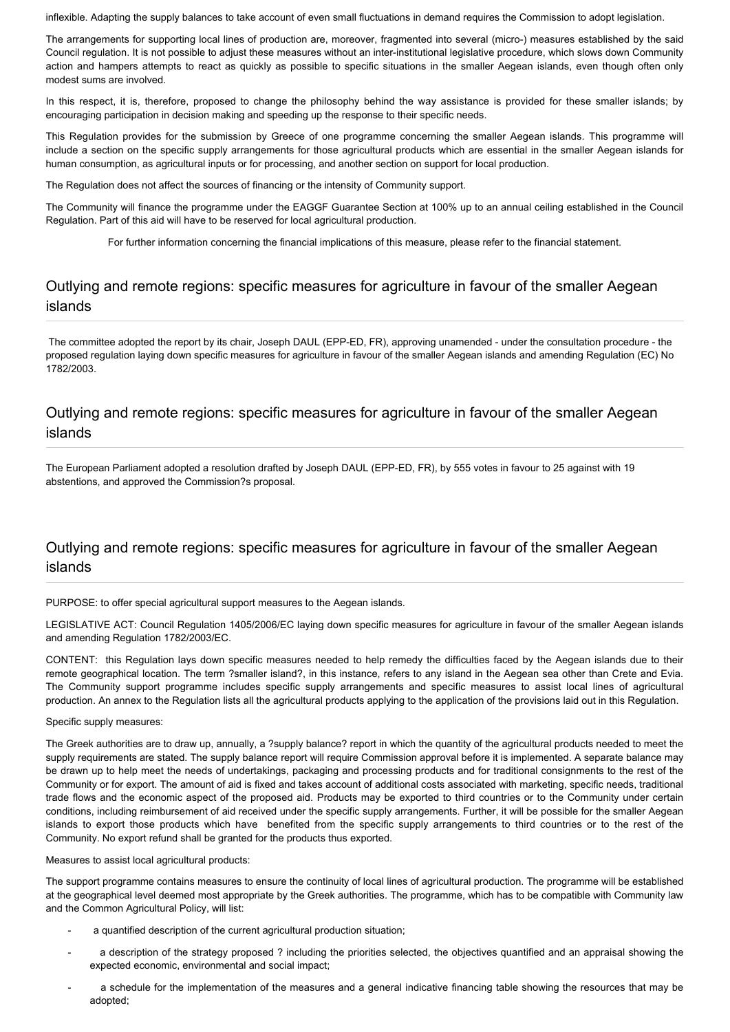inflexible. Adapting the supply balances to take account of even small fluctuations in demand requires the Commission to adopt legislation.

The arrangements for supporting local lines of production are, moreover, fragmented into several (micro-) measures established by the said Council regulation. It is not possible to adjust these measures without an inter-institutional legislative procedure, which slows down Community action and hampers attempts to react as quickly as possible to specific situations in the smaller Aegean islands, even though often only modest sums are involved.

In this respect, it is, therefore, proposed to change the philosophy behind the way assistance is provided for these smaller islands; by encouraging participation in decision making and speeding up the response to their specific needs.

This Regulation provides for the submission by Greece of one programme concerning the smaller Aegean islands. This programme will include a section on the specific supply arrangements for those agricultural products which are essential in the smaller Aegean islands for human consumption, as agricultural inputs or for processing, and another section on support for local production.

The Regulation does not affect the sources of financing or the intensity of Community support.

The Community will finance the programme under the EAGGF Guarantee Section at 100% up to an annual ceiling established in the Council Regulation. Part of this aid will have to be reserved for local agricultural production.

For further information concerning the financial implications of this measure, please refer to the financial statement.

## Outlying and remote regions: specific measures for agriculture in favour of the smaller Aegean islands

 The committee adopted the report by its chair, Joseph DAUL (EPP-ED, FR), approving unamended - under the consultation procedure - the proposed regulation laying down specific measures for agriculture in favour of the smaller Aegean islands and amending Regulation (EC) No 1782/2003.

## Outlying and remote regions: specific measures for agriculture in favour of the smaller Aegean islands

The European Parliament adopted a resolution drafted by Joseph DAUL (EPP-ED, FR), by 555 votes in favour to 25 against with 19 abstentions, and approved the Commission?s proposal.

## Outlying and remote regions: specific measures for agriculture in favour of the smaller Aegean islands

PURPOSE: to offer special agricultural support measures to the Aegean islands.

LEGISLATIVE ACT: Council Regulation 1405/2006/EC laying down specific measures for agriculture in favour of the smaller Aegean islands and amending Regulation 1782/2003/EC.

CONTENT: this Regulation lays down specific measures needed to help remedy the difficulties faced by the Aegean islands due to their remote geographical location. The term ?smaller island?, in this instance, refers to any island in the Aegean sea other than Crete and Evia. The Community support programme includes specific supply arrangements and specific measures to assist local lines of agricultural production. An annex to the Regulation lists all the agricultural products applying to the application of the provisions laid out in this Regulation.

#### Specific supply measures:

The Greek authorities are to draw up, annually, a ?supply balance? report in which the quantity of the agricultural products needed to meet the supply requirements are stated. The supply balance report will require Commission approval before it is implemented. A separate balance may be drawn up to help meet the needs of undertakings, packaging and processing products and for traditional consignments to the rest of the Community or for export. The amount of aid is fixed and takes account of additional costs associated with marketing, specific needs, traditional trade flows and the economic aspect of the proposed aid. Products may be exported to third countries or to the Community under certain conditions, including reimbursement of aid received under the specific supply arrangements. Further, it will be possible for the smaller Aegean islands to export those products which have benefited from the specific supply arrangements to third countries or to the rest of the Community. No export refund shall be granted for the products thus exported.

Measures to assist local agricultural products:

The support programme contains measures to ensure the continuity of local lines of agricultural production. The programme will be established at the geographical level deemed most appropriate by the Greek authorities. The programme, which has to be compatible with Community law and the Common Agricultural Policy, will list:

- a quantified description of the current agricultural production situation;
- a description of the strategy proposed ? including the priorities selected, the objectives quantified and an appraisal showing the expected economic, environmental and social impact;
- a schedule for the implementation of the measures and a general indicative financing table showing the resources that may be adopted;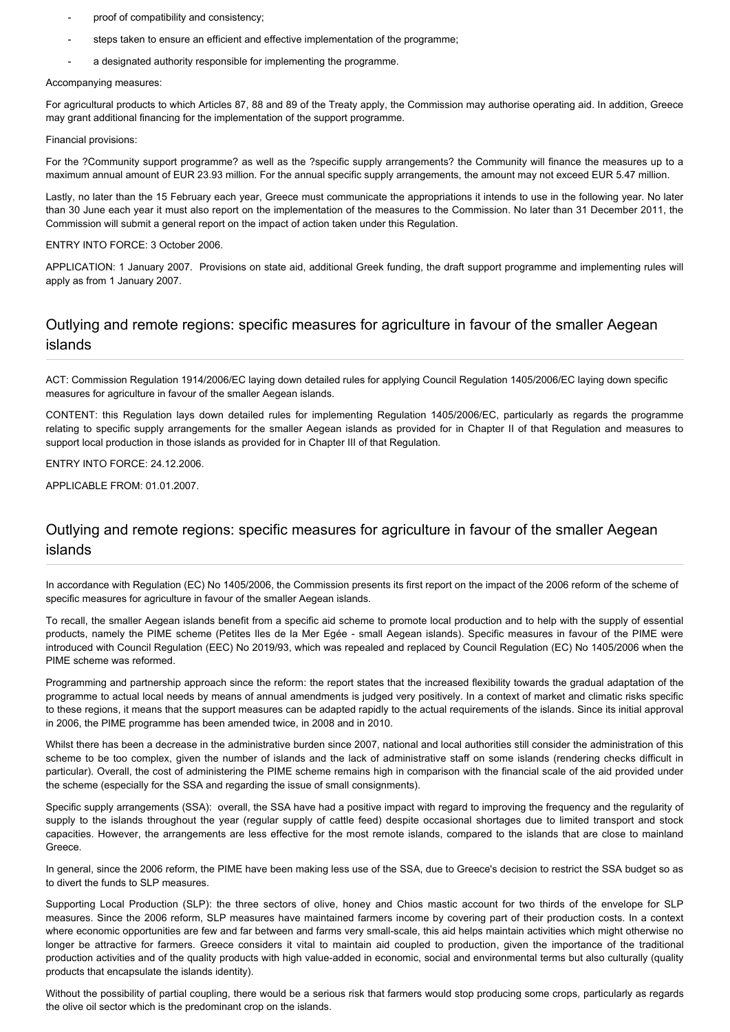- proof of compatibility and consistency;
- steps taken to ensure an efficient and effective implementation of the programme;
- a designated authority responsible for implementing the programme.

#### Accompanying measures:

For agricultural products to which Articles 87, 88 and 89 of the Treaty apply, the Commission may authorise operating aid. In addition, Greece may grant additional financing for the implementation of the support programme.

#### Financial provisions:

For the ?Community support programme? as well as the ?specific supply arrangements? the Community will finance the measures up to a maximum annual amount of EUR 23.93 million. For the annual specific supply arrangements, the amount may not exceed EUR 5.47 million.

Lastly, no later than the 15 February each year, Greece must communicate the appropriations it intends to use in the following year. No later than 30 June each year it must also report on the implementation of the measures to the Commission. No later than 31 December 2011, the Commission will submit a general report on the impact of action taken under this Regulation.

#### ENTRY INTO FORCE: 3 October 2006.

APPLICATION: 1 January 2007. Provisions on state aid, additional Greek funding, the draft support programme and implementing rules will apply as from 1 January 2007.

### Outlying and remote regions: specific measures for agriculture in favour of the smaller Aegean islands

ACT: Commission Regulation 1914/2006/EC laying down detailed rules for applying Council Regulation 1405/2006/EC laying down specific measures for agriculture in favour of the smaller Aegean islands.

CONTENT: this Regulation lays down detailed rules for implementing Regulation 1405/2006/EC, particularly as regards the programme relating to specific supply arrangements for the smaller Aegean islands as provided for in Chapter II of that Regulation and measures to support local production in those islands as provided for in Chapter III of that Regulation.

ENTRY INTO FORCE: 24.12.2006.

APPLICABLE FROM: 01.01.2007.

## Outlying and remote regions: specific measures for agriculture in favour of the smaller Aegean islands

In accordance with Regulation (EC) No 1405/2006, the Commission presents its first report on the impact of the 2006 reform of the scheme of specific measures for agriculture in favour of the smaller Aegean islands.

To recall, the smaller Aegean islands benefit from a specific aid scheme to promote local production and to help with the supply of essential products, namely the PIME scheme (Petites Iles de la Mer Egée - small Aegean islands). Specific measures in favour of the PIME were introduced with Council Regulation (EEC) No 2019/93, which was repealed and replaced by Council Regulation (EC) No 1405/2006 when the PIME scheme was reformed.

Programming and partnership approach since the reform: the report states that the increased flexibility towards the gradual adaptation of the programme to actual local needs by means of annual amendments is judged very positively. In a context of market and climatic risks specific to these regions, it means that the support measures can be adapted rapidly to the actual requirements of the islands. Since its initial approval in 2006, the PIME programme has been amended twice, in 2008 and in 2010.

Whilst there has been a decrease in the administrative burden since 2007, national and local authorities still consider the administration of this scheme to be too complex, given the number of islands and the lack of administrative staff on some islands (rendering checks difficult in particular). Overall, the cost of administering the PIME scheme remains high in comparison with the financial scale of the aid provided under the scheme (especially for the SSA and regarding the issue of small consignments).

Specific supply arrangements (SSA): overall, the SSA have had a positive impact with regard to improving the frequency and the regularity of supply to the islands throughout the year (regular supply of cattle feed) despite occasional shortages due to limited transport and stock capacities. However, the arrangements are less effective for the most remote islands, compared to the islands that are close to mainland Greece.

In general, since the 2006 reform, the PIME have been making less use of the SSA, due to Greece's decision to restrict the SSA budget so as to divert the funds to SLP measures.

Supporting Local Production (SLP): the three sectors of olive, honey and Chios mastic account for two thirds of the envelope for SLP measures. Since the 2006 reform, SLP measures have maintained farmers income by covering part of their production costs. In a context where economic opportunities are few and far between and farms very small-scale, this aid helps maintain activities which might otherwise no longer be attractive for farmers. Greece considers it vital to maintain aid coupled to production, given the importance of the traditional production activities and of the quality products with high value-added in economic, social and environmental terms but also culturally (quality products that encapsulate the islands identity).

Without the possibility of partial coupling, there would be a serious risk that farmers would stop producing some crops, particularly as regards the olive oil sector which is the predominant crop on the islands.